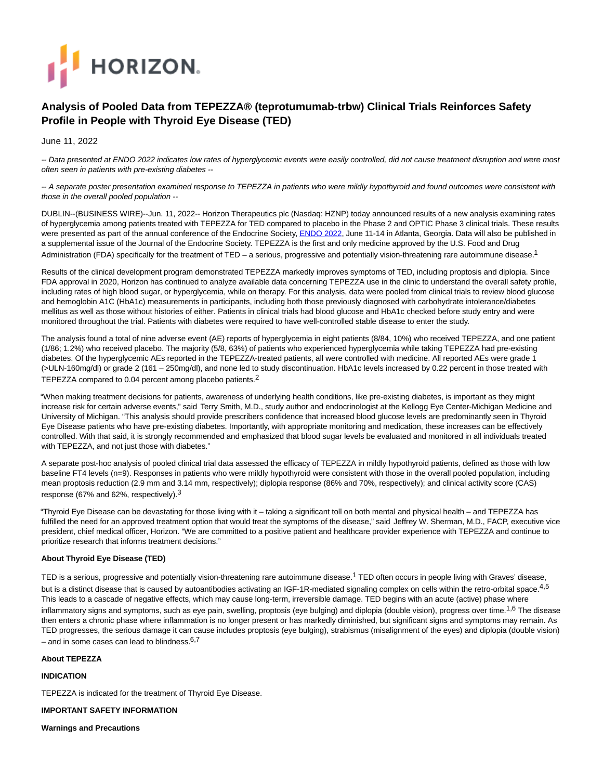

# **Analysis of Pooled Data from TEPEZZA® (teprotumumab-trbw) Clinical Trials Reinforces Safety Profile in People with Thyroid Eye Disease (TED)**

June 11, 2022

-- Data presented at ENDO 2022 indicates low rates of hyperglycemic events were easily controlled, did not cause treatment disruption and were most often seen in patients with pre-existing diabetes --

-- A separate poster presentation examined response to TEPEZZA in patients who were mildly hypothyroid and found outcomes were consistent with those in the overall pooled population --

DUBLIN--(BUSINESS WIRE)--Jun. 11, 2022-- Horizon Therapeutics plc (Nasdaq: HZNP) today announced results of a new analysis examining rates of hyperglycemia among patients treated with TEPEZZA for TED compared to placebo in the Phase 2 and OPTIC Phase 3 clinical trials. These results were presented as part of the annual conference of the Endocrine Society[, ENDO 2022,](https://cts.businesswire.com/ct/CT?id=smartlink&url=https%3A%2F%2Fendo2022.endocrine.org%2F&esheet=52744031&newsitemid=20220611005001&lan=en-US&anchor=ENDO+2022&index=1&md5=d6771d3101abafd249c457430f1c71d7) June 11-14 in Atlanta, Georgia. Data will also be published in a supplemental issue of the Journal of the Endocrine Society. TEPEZZA is the first and only medicine approved by the U.S. Food and Drug Administration (FDA) specifically for the treatment of TED – a serious, progressive and potentially vision-threatening rare autoimmune disease.<sup>1</sup>

Results of the clinical development program demonstrated TEPEZZA markedly improves symptoms of TED, including proptosis and diplopia. Since FDA approval in 2020, Horizon has continued to analyze available data concerning TEPEZZA use in the clinic to understand the overall safety profile, including rates of high blood sugar, or hyperglycemia, while on therapy. For this analysis, data were pooled from clinical trials to review blood glucose and hemoglobin A1C (HbA1c) measurements in participants, including both those previously diagnosed with carbohydrate intolerance/diabetes mellitus as well as those without histories of either. Patients in clinical trials had blood glucose and HbA1c checked before study entry and were monitored throughout the trial. Patients with diabetes were required to have well-controlled stable disease to enter the study.

The analysis found a total of nine adverse event (AE) reports of hyperglycemia in eight patients (8/84, 10%) who received TEPEZZA, and one patient (1/86; 1.2%) who received placebo. The majority (5/8, 63%) of patients who experienced hyperglycemia while taking TEPEZZA had pre-existing diabetes. Of the hyperglycemic AEs reported in the TEPEZZA-treated patients, all were controlled with medicine. All reported AEs were grade 1 (>ULN-160mg/dl) or grade 2 (161 – 250mg/dl), and none led to study discontinuation. HbA1c levels increased by 0.22 percent in those treated with TEPEZZA compared to 0.04 percent among placebo patients.2

"When making treatment decisions for patients, awareness of underlying health conditions, like pre-existing diabetes, is important as they might increase risk for certain adverse events," said Terry Smith, M.D., study author and endocrinologist at the Kellogg Eye Center-Michigan Medicine and University of Michigan. "This analysis should provide prescribers confidence that increased blood glucose levels are predominantly seen in Thyroid Eye Disease patients who have pre-existing diabetes. Importantly, with appropriate monitoring and medication, these increases can be effectively controlled. With that said, it is strongly recommended and emphasized that blood sugar levels be evaluated and monitored in all individuals treated with TEPEZZA, and not just those with diabetes."

A separate post-hoc analysis of pooled clinical trial data assessed the efficacy of TEPEZZA in mildly hypothyroid patients, defined as those with low baseline FT4 levels (n=9). Responses in patients who were mildly hypothyroid were consistent with those in the overall pooled population, including mean proptosis reduction (2.9 mm and 3.14 mm, respectively); diplopia response (86% and 70%, respectively); and clinical activity score (CAS) response (67% and 62%, respectively).3

"Thyroid Eye Disease can be devastating for those living with it – taking a significant toll on both mental and physical health – and TEPEZZA has fulfilled the need for an approved treatment option that would treat the symptoms of the disease," said Jeffrey W. Sherman, M.D., FACP, executive vice president, chief medical officer, Horizon. "We are committed to a positive patient and healthcare provider experience with TEPEZZA and continue to prioritize research that informs treatment decisions."

## **About Thyroid Eye Disease (TED)**

TED is a serious, progressive and potentially vision-threatening rare autoimmune disease.<sup>1</sup> TED often occurs in people living with Graves' disease, but is a distinct disease that is caused by autoantibodies activating an IGF-1R-mediated signaling complex on cells within the retro-orbital space.<sup>4,5</sup> This leads to a cascade of negative effects, which may cause long-term, irreversible damage. TED begins with an acute (active) phase where inflammatory signs and symptoms, such as eye pain, swelling, proptosis (eye bulging) and diplopia (double vision), progress over time.<sup>1,6</sup> The disease then enters a chronic phase where inflammation is no longer present or has markedly diminished, but significant signs and symptoms may remain. As TED progresses, the serious damage it can cause includes proptosis (eye bulging), strabismus (misalignment of the eyes) and diplopia (double vision) – and in some cases can lead to blindness. $6,7$ 

**About TEPEZZA**

**INDICATION**

TEPEZZA is indicated for the treatment of Thyroid Eye Disease.

**IMPORTANT SAFETY INFORMATION**

**Warnings and Precautions**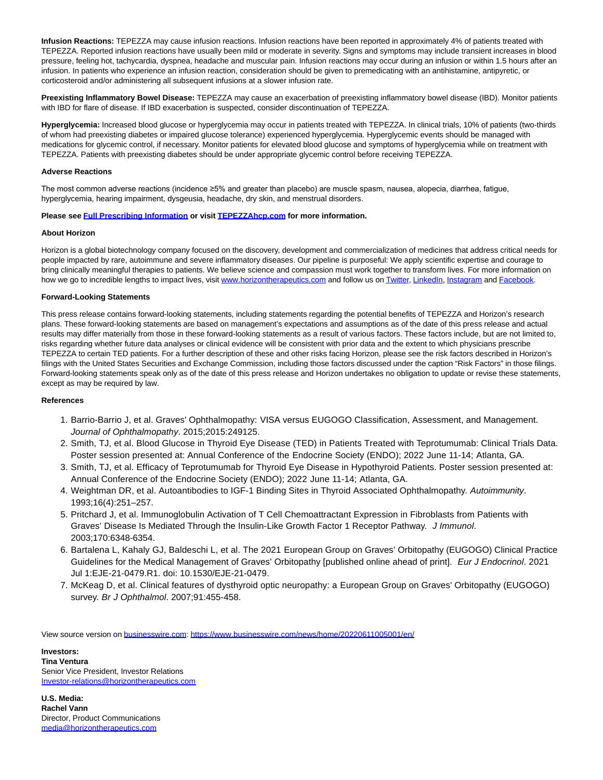**Infusion Reactions:** TEPEZZA may cause infusion reactions. Infusion reactions have been reported in approximately 4% of patients treated with TEPEZZA. Reported infusion reactions have usually been mild or moderate in severity. Signs and symptoms may include transient increases in blood pressure, feeling hot, tachycardia, dyspnea, headache and muscular pain. Infusion reactions may occur during an infusion or within 1.5 hours after an infusion. In patients who experience an infusion reaction, consideration should be given to premedicating with an antihistamine, antipyretic, or corticosteroid and/or administering all subsequent infusions at a slower infusion rate.

**Preexisting Inflammatory Bowel Disease:** TEPEZZA may cause an exacerbation of preexisting inflammatory bowel disease (IBD). Monitor patients with IBD for flare of disease. If IBD exacerbation is suspected, consider discontinuation of TEPEZZA.

**Hyperglycemia:** Increased blood glucose or hyperglycemia may occur in patients treated with TEPEZZA. In clinical trials, 10% of patients (two-thirds of whom had preexisting diabetes or impaired glucose tolerance) experienced hyperglycemia. Hyperglycemic events should be managed with medications for glycemic control, if necessary. Monitor patients for elevated blood glucose and symptoms of hyperglycemia while on treatment with TEPEZZA. Patients with preexisting diabetes should be under appropriate glycemic control before receiving TEPEZZA.

### **Adverse Reactions**

The most common adverse reactions (incidence ≥5% and greater than placebo) are muscle spasm, nausea, alopecia, diarrhea, fatigue, hyperglycemia, hearing impairment, dysgeusia, headache, dry skin, and menstrual disorders.

#### **Please see [Full Prescribing Information o](https://cts.businesswire.com/ct/CT?id=smartlink&url=https%3A%2F%2Fwww.hzndocs.com%2FTEPEZZA-Prescribing-Information.pdf&esheet=52744031&newsitemid=20220611005001&lan=en-US&anchor=Full+Prescribing+Information&index=2&md5=707934568090616aba24bfbd32480da8)r visi[t TEPEZZAhcp.com](https://cts.businesswire.com/ct/CT?id=smartlink&url=http%3A%2F%2Fwww.TEPEZZAhcp.com&esheet=52744031&newsitemid=20220611005001&lan=en-US&anchor=TEPEZZAhcp.com&index=3&md5=7b2d40ccab922d4a52bd4410539320a1) for more information.**

#### **About Horizon**

Horizon is a global biotechnology company focused on the discovery, development and commercialization of medicines that address critical needs for people impacted by rare, autoimmune and severe inflammatory diseases. Our pipeline is purposeful: We apply scientific expertise and courage to bring clinically meaningful therapies to patients. We believe science and compassion must work together to transform lives. For more information on how we go to incredible lengths to impact lives, visit [www.horizontherapeutics.com a](https://cts.businesswire.com/ct/CT?id=smartlink&url=http%3A%2F%2Fwww.horizontherapeutics.com&esheet=52744031&newsitemid=20220611005001&lan=en-US&anchor=www.horizontherapeutics.com&index=4&md5=51871b25822c2fb991a8493cabf416fb)nd follow us o[n Twitter,](https://cts.businesswire.com/ct/CT?id=smartlink&url=https%3A%2F%2Ftwitter.com%2FHorizonNews&esheet=52744031&newsitemid=20220611005001&lan=en-US&anchor=Twitter&index=5&md5=8315d752a3d58959076565a0567c8a0c) [LinkedIn,](https://cts.businesswire.com/ct/CT?id=smartlink&url=https%3A%2F%2Fwww.linkedin.com%2Fcompany%2Fhorizontherapeutics&esheet=52744031&newsitemid=20220611005001&lan=en-US&anchor=LinkedIn&index=6&md5=5b4e4f3c5012028bbc46a030020b59c4) [Instagram a](https://cts.businesswire.com/ct/CT?id=smartlink&url=https%3A%2F%2Fwww.instagram.com%2Fhorizontherapeutics%2F&esheet=52744031&newsitemid=20220611005001&lan=en-US&anchor=Instagram&index=7&md5=c458c56b8313d16705dd23ba66035873)nd [Facebook.](https://cts.businesswire.com/ct/CT?id=smartlink&url=https%3A%2F%2Fwww.facebook.com%2FHorizonTherapeutics%2F&esheet=52744031&newsitemid=20220611005001&lan=en-US&anchor=Facebook&index=8&md5=c3161f7f07abc90e324a7dfc927e21dc)

## **Forward-Looking Statements**

This press release contains forward-looking statements, including statements regarding the potential benefits of TEPEZZA and Horizon's research plans. These forward-looking statements are based on management's expectations and assumptions as of the date of this press release and actual results may differ materially from those in these forward-looking statements as a result of various factors. These factors include, but are not limited to, risks regarding whether future data analyses or clinical evidence will be consistent with prior data and the extent to which physicians prescribe TEPEZZA to certain TED patients. For a further description of these and other risks facing Horizon, please see the risk factors described in Horizon's filings with the United States Securities and Exchange Commission, including those factors discussed under the caption "Risk Factors" in those filings. Forward-looking statements speak only as of the date of this press release and Horizon undertakes no obligation to update or revise these statements, except as may be required by law.

## **References**

- 1. Barrio-Barrio J, et al. Graves' Ophthalmopathy: VISA versus EUGOGO Classification, Assessment, and Management. Journal of Ophthalmopathy. 2015;2015:249125.
- 2. Smith, TJ, et al. Blood Glucose in Thyroid Eye Disease (TED) in Patients Treated with Teprotumumab: Clinical Trials Data. Poster session presented at: Annual Conference of the Endocrine Society (ENDO); 2022 June 11-14; Atlanta, GA.
- 3. Smith, TJ, et al. Efficacy of Teprotumumab for Thyroid Eye Disease in Hypothyroid Patients. Poster session presented at: Annual Conference of the Endocrine Society (ENDO); 2022 June 11-14; Atlanta, GA.
- 4. Weightman DR, et al. Autoantibodies to IGF-1 Binding Sites in Thyroid Associated Ophthalmopathy. Autoimmunity. 1993;16(4):251–257.
- 5. Pritchard J, et al. Immunoglobulin Activation of T Cell Chemoattractant Expression in Fibroblasts from Patients with Graves' Disease Is Mediated Through the Insulin-Like Growth Factor 1 Receptor Pathway. J Immunol. 2003;170:6348-6354.
- 6. Bartalena L, Kahaly GJ, Baldeschi L, et al. The 2021 European Group on Graves' Orbitopathy (EUGOGO) Clinical Practice Guidelines for the Medical Management of Graves' Orbitopathy [published online ahead of print]. Eur J Endocrinol. 2021 Jul 1:EJE-21-0479.R1. doi: 10.1530/EJE-21-0479.
- 7. McKeag D, et al. Clinical features of dysthyroid optic neuropathy: a European Group on Graves' Orbitopathy (EUGOGO) survey. Br J Ophthalmol. 2007;91:455-458.

View source version on [businesswire.com:](http://businesswire.com/)<https://www.businesswire.com/news/home/20220611005001/en/>

**Investors: Tina Ventura** Senior Vice President, Investor Relations [Investor-relations@horizontherapeutics.com](mailto:Investor-relations@horizontherapeutics.com)

**U.S. Media: Rachel Vann** Director, Product Communications [media@horizontherapeutics.com](mailto:media@horizontherapeutics.com)